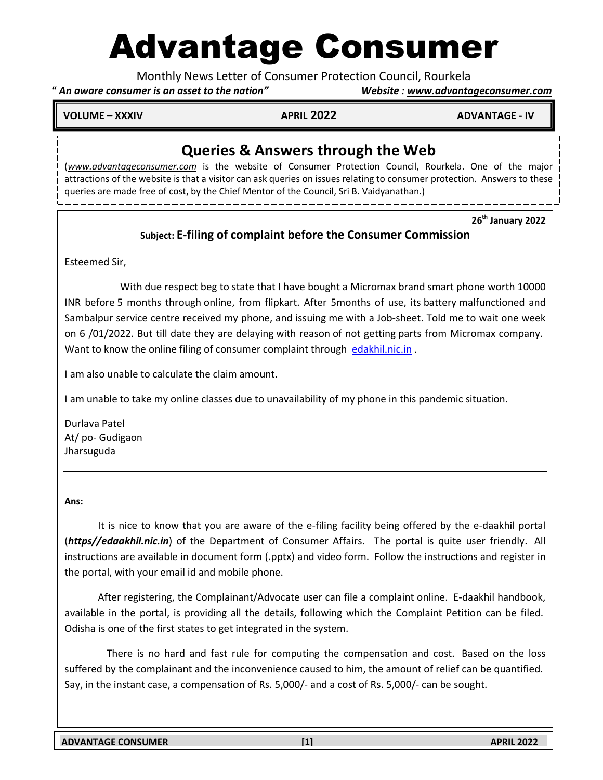# Advantage Consumer

Monthly News Letter of Consumer Protection Council, Rourkela

#### **"** *An aware consumer is an asset to the nation" Website : www.advantageconsumer.com*

#### **VOLUME – XXXIV APRIL 2022 ADVANTAGE - IV**

j

# **Queries & Answers through the Web**

(*www.advantageconsumer.com* is the website of Consumer Protection Council, Rourkela. One of the major attractions of the website is that a visitor can ask queries on issues relating to consumer protection. Answers to these queries are made free of cost, by the Chief Mentor of the Council, Sri B. Vaidyanathan.)

**26th January 2022**

# **Subject: E-filing of complaint before the Consumer Commission**

Esteemed Sir,

 With due respect beg to state that I have bought a Micromax brand smart phone worth 10000 INR before 5 months through online, from flipkart. After 5months of use, its battery malfunctioned and Sambalpur service centre received my phone, and issuing me with a Job-sheet. Told me to wait one week on 6 /01/2022. But till date they are delaying with reason of not getting parts from Micromax company. Want to know the online filing of consumer complaint through edakhil.nic.in.

I am also unable to calculate the claim amount.

I am unable to take my online classes due to unavailability of my phone in this pandemic situation.

Durlava Patel At/ po- Gudigaon Jharsuguda

#### **Ans:**

It is nice to know that you are aware of the e-filing facility being offered by the e-daakhil portal (*https//edaakhil.nic.in*) of the Department of Consumer Affairs. The portal is quite user friendly. All instructions are available in document form (.pptx) and video form. Follow the instructions and register in the portal, with your email id and mobile phone.

After registering, the Complainant/Advocate user can file a complaint online. E-daakhil handbook, available in the portal, is providing all the details, following which the Complaint Petition can be filed. Odisha is one of the first states to get integrated in the system.

 There is no hard and fast rule for computing the compensation and cost. Based on the loss suffered by the complainant and the inconvenience caused to him, the amount of relief can be quantified. Say, in the instant case, a compensation of Rs. 5,000/- and a cost of Rs. 5,000/- can be sought.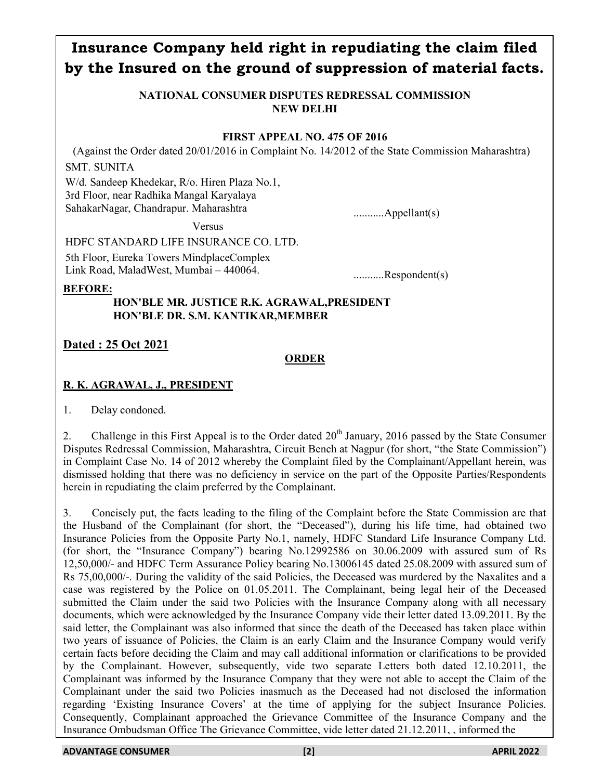# **Insurance Company held right in repudiating the claim filed by the Insured on the ground of suppression of material facts.**

## **NATIONAL CONSUMER DISPUTES REDRESSAL COMMISSION NEW DELHI**

#### **FIRST APPEAL NO. 475 OF 2016**

(Against the Order dated 20/01/2016 in Complaint No. 14/2012 of the State Commission Maharashtra)

SMT. SUNITA

W/d. Sandeep Khedekar, R/o. Hiren Plaza No.1, 3rd Floor, near Radhika Mangal Karyalaya SahakarNagar, Chandrapur. Maharashtra ...........Appellant(s)

Versus

HDFC STANDARD LIFE INSURANCE CO. LTD.

5th Floor, Eureka Towers MindplaceComplex Link Road, MaladWest, Mumbai – 440064. .............Respondent(s)

#### **BEFORE:**

## **HON'BLE MR. JUSTICE R.K. AGRAWAL,PRESIDENT HON'BLE DR. S.M. KANTIKAR,MEMBER**

# **Dated : 25 Oct 2021**

## **ORDER**

# **R. K. AGRAWAL, J., PRESIDENT**

1. Delay condoned.

2. Challenge in this First Appeal is to the Order dated  $20<sup>th</sup>$  January, 2016 passed by the State Consumer Disputes Redressal Commission, Maharashtra, Circuit Bench at Nagpur (for short, "the State Commission") in Complaint Case No. 14 of 2012 whereby the Complaint filed by the Complainant/Appellant herein, was dismissed holding that there was no deficiency in service on the part of the Opposite Parties/Respondents herein in repudiating the claim preferred by the Complainant.

3. Concisely put, the facts leading to the filing of the Complaint before the State Commission are that the Husband of the Complainant (for short, the "Deceased"), during his life time, had obtained two Insurance Policies from the Opposite Party No.1, namely, HDFC Standard Life Insurance Company Ltd. (for short, the "Insurance Company") bearing No.12992586 on 30.06.2009 with assured sum of Rs 12,50,000/- and HDFC Term Assurance Policy bearing No.13006145 dated 25.08.2009 with assured sum of Rs 75,00,000/-. During the validity of the said Policies, the Deceased was murdered by the Naxalites and a case was registered by the Police on 01.05.2011. The Complainant, being legal heir of the Deceased submitted the Claim under the said two Policies with the Insurance Company along with all necessary documents, which were acknowledged by the Insurance Company vide their letter dated 13.09.2011. By the said letter, the Complainant was also informed that since the death of the Deceased has taken place within two years of issuance of Policies, the Claim is an early Claim and the Insurance Company would verify certain facts before deciding the Claim and may call additional information or clarifications to be provided by the Complainant. However, subsequently, vide two separate Letters both dated 12.10.2011, the Complainant was informed by the Insurance Company that they were not able to accept the Claim of the Complainant under the said two Policies inasmuch as the Deceased had not disclosed the information regarding 'Existing Insurance Covers' at the time of applying for the subject Insurance Policies. Consequently, Complainant approached the Grievance Committee of the Insurance Company and the Insurance Ombudsman Office The Grievance Committee, vide letter dated 21.12.2011, , informed the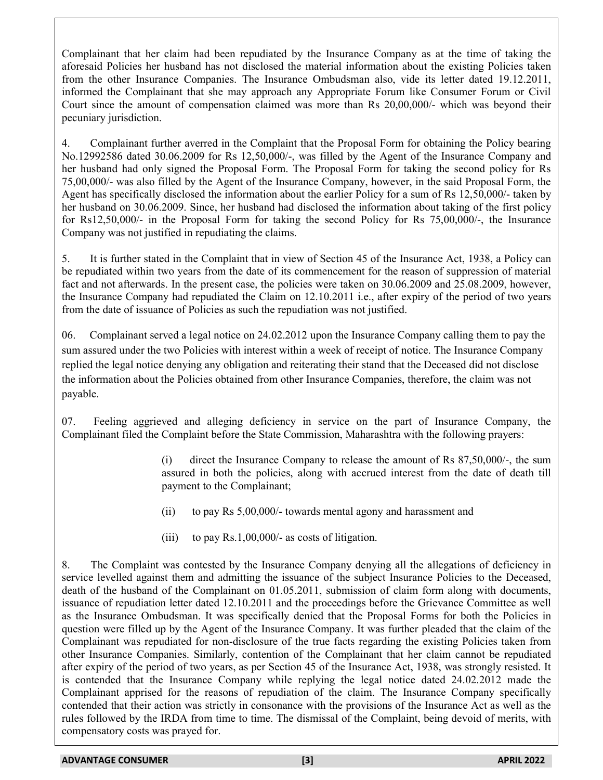Complainant that her claim had been repudiated by the Insurance Company as at the time of taking the aforesaid Policies her husband has not disclosed the material information about the existing Policies taken from the other Insurance Companies. The Insurance Ombudsman also, vide its letter dated 19.12.2011, informed the Complainant that she may approach any Appropriate Forum like Consumer Forum or Civil Court since the amount of compensation claimed was more than Rs 20,00,000/- which was beyond their pecuniary jurisdiction.

4. Complainant further averred in the Complaint that the Proposal Form for obtaining the Policy bearing No.12992586 dated 30.06.2009 for Rs 12,50,000/-, was filled by the Agent of the Insurance Company and her husband had only signed the Proposal Form. The Proposal Form for taking the second policy for Rs 75,00,000/- was also filled by the Agent of the Insurance Company, however, in the said Proposal Form, the Agent has specifically disclosed the information about the earlier Policy for a sum of Rs 12,50,000/- taken by her husband on 30.06.2009. Since, her husband had disclosed the information about taking of the first policy for Rs12,50,000/- in the Proposal Form for taking the second Policy for Rs 75,00,000/-, the Insurance Company was not justified in repudiating the claims.

5. It is further stated in the Complaint that in view of Section 45 of the Insurance Act, 1938, a Policy can be repudiated within two years from the date of its commencement for the reason of suppression of material fact and not afterwards. In the present case, the policies were taken on 30.06.2009 and 25.08.2009, however, the Insurance Company had repudiated the Claim on 12.10.2011 i.e., after expiry of the period of two years from the date of issuance of Policies as such the repudiation was not justified.

06. Complainant served a legal notice on 24.02.2012 upon the Insurance Company calling them to pay the sum assured under the two Policies with interest within a week of receipt of notice. The Insurance Company replied the legal notice denying any obligation and reiterating their stand that the Deceased did not disclose the information about the Policies obtained from other Insurance Companies, therefore, the claim was not payable.

07. Feeling aggrieved and alleging deficiency in service on the part of Insurance Company, the Complainant filed the Complaint before the State Commission, Maharashtra with the following prayers:

> (i) direct the Insurance Company to release the amount of Rs 87,50,000/-, the sum assured in both the policies, along with accrued interest from the date of death till payment to the Complainant;

- (ii) to pay Rs 5,00,000/- towards mental agony and harassment and
- (iii) to pay Rs.1,00,000/- as costs of litigation.

8. The Complaint was contested by the Insurance Company denying all the allegations of deficiency in service levelled against them and admitting the issuance of the subject Insurance Policies to the Deceased, death of the husband of the Complainant on 01.05.2011, submission of claim form along with documents, issuance of repudiation letter dated 12.10.2011 and the proceedings before the Grievance Committee as well as the Insurance Ombudsman. It was specifically denied that the Proposal Forms for both the Policies in question were filled up by the Agent of the Insurance Company. It was further pleaded that the claim of the Complainant was repudiated for non-disclosure of the true facts regarding the existing Policies taken from other Insurance Companies. Similarly, contention of the Complainant that her claim cannot be repudiated after expiry of the period of two years, as per Section 45 of the Insurance Act, 1938, was strongly resisted. It is contended that the Insurance Company while replying the legal notice dated 24.02.2012 made the Complainant apprised for the reasons of repudiation of the claim. The Insurance Company specifically contended that their action was strictly in consonance with the provisions of the Insurance Act as well as the rules followed by the IRDA from time to time. The dismissal of the Complaint, being devoid of merits, with compensatory costs was prayed for.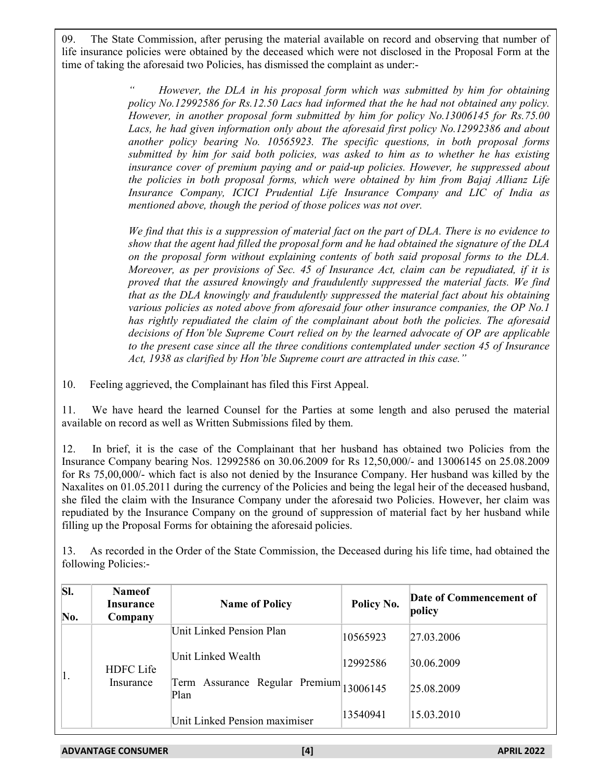09. The State Commission, after perusing the material available on record and observing that number of life insurance policies were obtained by the deceased which were not disclosed in the Proposal Form at the time of taking the aforesaid two Policies, has dismissed the complaint as under:-

> *" However, the DLA in his proposal form which was submitted by him for obtaining policy No.12992586 for Rs.12.50 Lacs had informed that the he had not obtained any policy. However, in another proposal form submitted by him for policy No.13006145 for Rs.75.00*  Lacs, he had given information only about the aforesaid first policy No.12992386 and about *another policy bearing No. 10565923. The specific questions, in both proposal forms submitted by him for said both policies, was asked to him as to whether he has existing insurance cover of premium paying and or paid-up policies. However, he suppressed about the policies in both proposal forms, which were obtained by him from Bajaj Allianz Life Insurance Company, ICICI Prudential Life Insurance Company and LIC of India as mentioned above, though the period of those polices was not over.*

> *We find that this is a suppression of material fact on the part of DLA. There is no evidence to show that the agent had filled the proposal form and he had obtained the signature of the DLA on the proposal form without explaining contents of both said proposal forms to the DLA. Moreover, as per provisions of Sec. 45 of Insurance Act, claim can be repudiated, if it is proved that the assured knowingly and fraudulently suppressed the material facts. We find that as the DLA knowingly and fraudulently suppressed the material fact about his obtaining various policies as noted above from aforesaid four other insurance companies, the OP No.1 has rightly repudiated the claim of the complainant about both the policies. The aforesaid decisions of Hon'ble Supreme Court relied on by the learned advocate of OP are applicable to the present case since all the three conditions contemplated under section 45 of Insurance Act, 1938 as clarified by Hon'ble Supreme court are attracted in this case."*

10. Feeling aggrieved, the Complainant has filed this First Appeal.

11. We have heard the learned Counsel for the Parties at some length and also perused the material available on record as well as Written Submissions filed by them.

12. In brief, it is the case of the Complainant that her husband has obtained two Policies from the Insurance Company bearing Nos. 12992586 on 30.06.2009 for Rs 12,50,000/- and 13006145 on 25.08.2009 for Rs 75,00,000/- which fact is also not denied by the Insurance Company. Her husband was killed by the Naxalites on 01.05.2011 during the currency of the Policies and being the legal heir of the deceased husband, she filed the claim with the Insurance Company under the aforesaid two Policies. However, her claim was repudiated by the Insurance Company on the ground of suppression of material fact by her husband while filling up the Proposal Forms for obtaining the aforesaid policies.

13. As recorded in the Order of the State Commission, the Deceased during his life time, had obtained the following Policies:-

| SI.<br>No. | <b>Nameof</b><br>Insurance<br>Company | <b>Name of Policy</b>                              | Policy No. | Date of Commencement of<br>policy |
|------------|---------------------------------------|----------------------------------------------------|------------|-----------------------------------|
|            | <b>HDFC</b> Life<br>Insurance         | Unit Linked Pension Plan                           | 10565923   | 27.03.2006                        |
|            |                                       | Unit Linked Wealth                                 | 12992586   | 30.06.2009                        |
|            |                                       | Term Assurance Regular Premium $ 13006145$<br>Plan |            | 25.08.2009                        |
|            |                                       | Unit Linked Pension maximiser                      | 13540941   | 15.03.2010                        |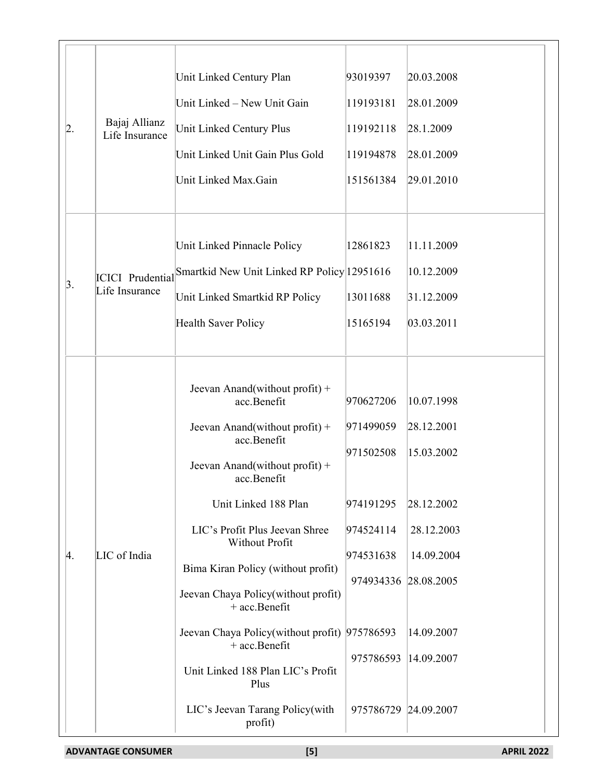| $\mathbf{2}$ . | Bajaj Allianz<br>Life Insurance           | Unit Linked Century Plan<br>Unit Linked - New Unit Gain<br>Unit Linked Century Plus<br>Unit Linked Unit Gain Plus Gold<br>Unit Linked Max.Gain                                                                                                                                                                                                                                                                                                                                         | 93019397<br>119193181<br>119192118<br>119194878<br>151561384                                                                            | 20.03.2008<br>28.01.2009<br>28.1.2009<br>28.01.2009<br>29.01.2010                                            |
|----------------|-------------------------------------------|----------------------------------------------------------------------------------------------------------------------------------------------------------------------------------------------------------------------------------------------------------------------------------------------------------------------------------------------------------------------------------------------------------------------------------------------------------------------------------------|-----------------------------------------------------------------------------------------------------------------------------------------|--------------------------------------------------------------------------------------------------------------|
| $\beta$ .      | <b>ICICI</b> Prudential<br>Life Insurance | Unit Linked Pinnacle Policy<br>Smartkid New Unit Linked RP Policy 12951616<br>Unit Linked Smartkid RP Policy<br><b>Health Saver Policy</b>                                                                                                                                                                                                                                                                                                                                             | 12861823<br>13011688<br>15165194                                                                                                        | 11.11.2009<br>10.12.2009<br>31.12.2009<br> 03.03.2011                                                        |
| 4.             | LIC of India                              | Jeevan Anand(without profit) +<br>acc.Benefit<br>Jeevan Anand(without profit) +<br>acc.Benefit<br>Jeevan Anand(without profit) +<br>acc.Benefit<br>Unit Linked 188 Plan<br>LIC's Profit Plus Jeevan Shree<br>Without Profit<br>Bima Kiran Policy (without profit)<br>Jeevan Chaya Policy(without profit)<br>+ acc.Benefit<br>Jeevan Chaya Policy(without profit) 975786593<br>+ acc.Benefit<br>Unit Linked 188 Plan LIC's Profit<br>Plus<br>LIC's Jeevan Tarang Policy(with<br>profit) | 970627206<br>971499059<br>971502508<br>974191295<br>974524114<br>974531638<br>974934336 28.08.2005<br>975786593<br>975786729 24.09.2007 | 10.07.1998<br>28.12.2001<br>15.03.2002<br>28.12.2002<br>28.12.2003<br>14.09.2004<br>14.09.2007<br>14.09.2007 |